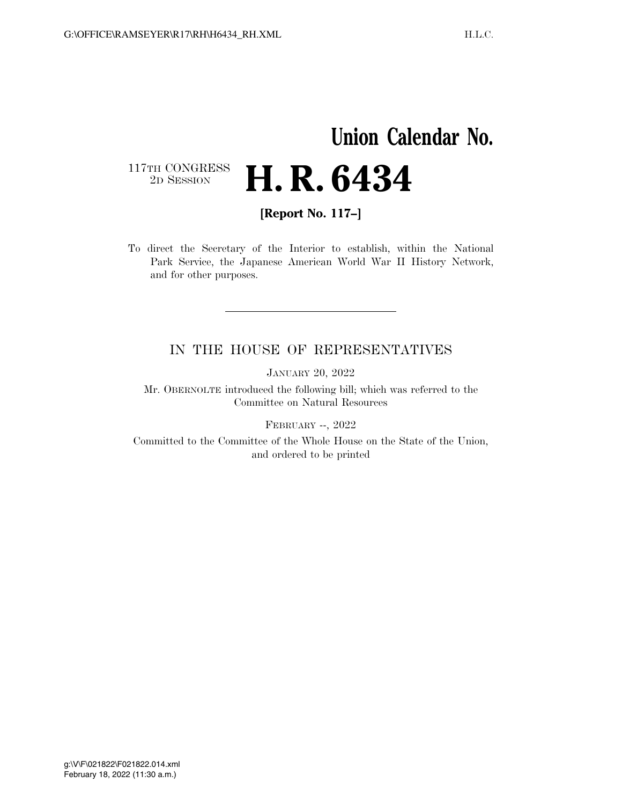# **Union Calendar No.**   $\begin{array}{c} \textbf{117TH CONGRESS} \\ \textbf{2D} \textbf{Session} \end{array}$ 2D SESSION **H. R. 6434**

**[Report No. 117–]** 

To direct the Secretary of the Interior to establish, within the National Park Service, the Japanese American World War II History Network, and for other purposes.

### IN THE HOUSE OF REPRESENTATIVES

JANUARY 20, 2022

Mr. OBERNOLTE introduced the following bill; which was referred to the Committee on Natural Resources

FEBRUARY --, 2022

Committed to the Committee of the Whole House on the State of the Union, and ordered to be printed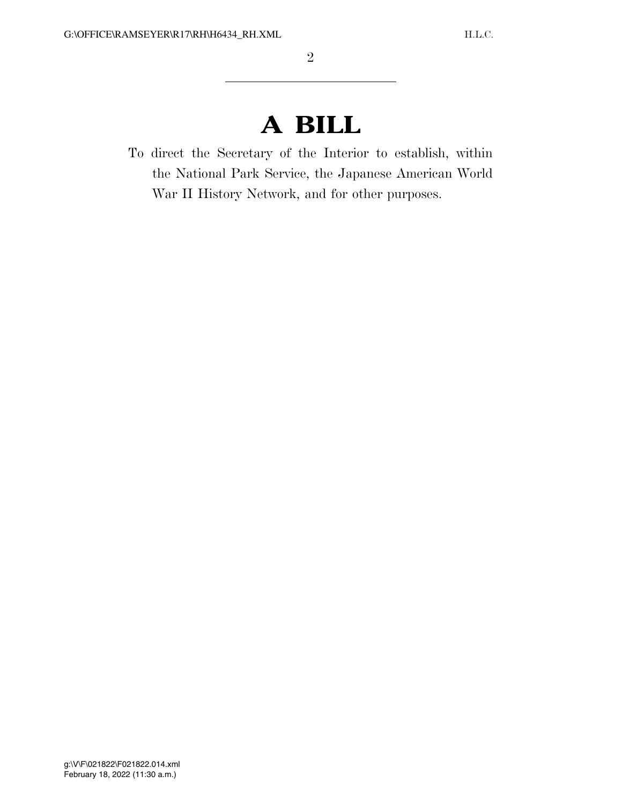# **A BILL**

To direct the Secretary of the Interior to establish, within the National Park Service, the Japanese American World War II History Network, and for other purposes.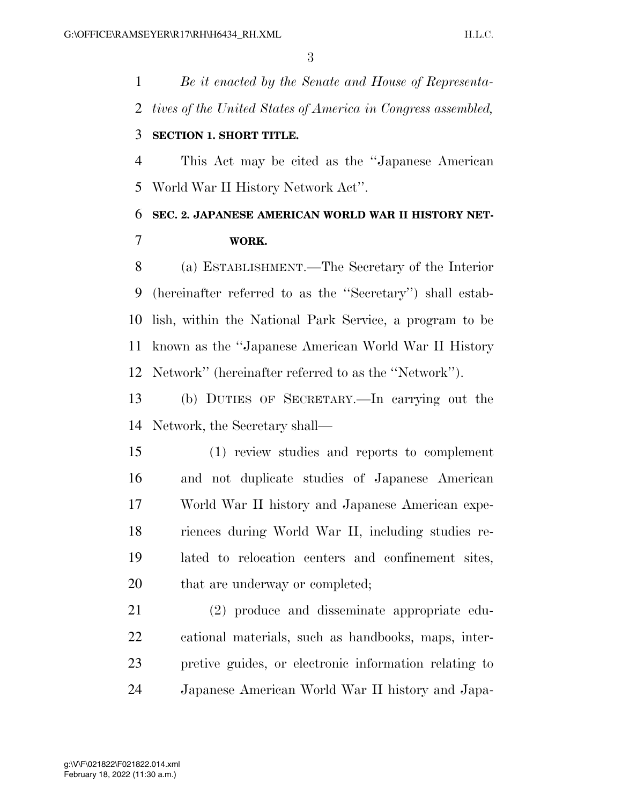*Be it enacted by the Senate and House of Representa- tives of the United States of America in Congress assembled,*  **SECTION 1. SHORT TITLE.** 

 This Act may be cited as the ''Japanese American World War II History Network Act''.

# **SEC. 2. JAPANESE AMERICAN WORLD WAR II HISTORY NET-WORK.**

 (a) ESTABLISHMENT.—The Secretary of the Interior (hereinafter referred to as the ''Secretary'') shall estab- lish, within the National Park Service, a program to be known as the ''Japanese American World War II History Network'' (hereinafter referred to as the ''Network'').

 (b) DUTIES OF SECRETARY.—In carrying out the Network, the Secretary shall—

 (1) review studies and reports to complement and not duplicate studies of Japanese American World War II history and Japanese American expe- riences during World War II, including studies re- lated to relocation centers and confinement sites, that are underway or completed;

 (2) produce and disseminate appropriate edu- cational materials, such as handbooks, maps, inter- pretive guides, or electronic information relating to Japanese American World War II history and Japa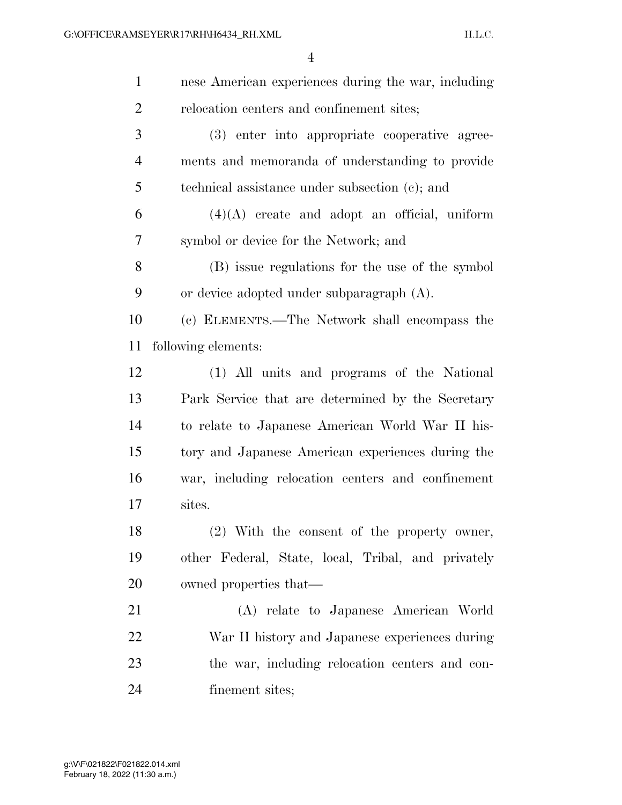| $\mathbf{1}$   | nese American experiences during the war, including |
|----------------|-----------------------------------------------------|
| $\overline{2}$ | relocation centers and confinement sites;           |
| 3              | (3) enter into appropriate cooperative agree-       |
| 4              | ments and memoranda of understanding to provide     |
| 5              | technical assistance under subsection (c); and      |
| 6              | $(4)(A)$ create and adopt an official, uniform      |
| 7              | symbol or device for the Network; and               |
| 8              | (B) issue regulations for the use of the symbol     |
| 9              | or device adopted under subparagraph $(A)$ .        |
| 10             | (c) ELEMENTS.—The Network shall encompass the       |
| 11             | following elements:                                 |
| 12             | (1) All units and programs of the National          |
| 13             | Park Service that are determined by the Secretary   |
| 14             | to relate to Japanese American World War II his-    |
| 15             | tory and Japanese American experiences during the   |
| 16             | war, including relocation centers and confinement   |
| 17             | sites.                                              |
| 18             | (2) With the consent of the property owner,         |
| 19             | other Federal, State, local, Tribal, and privately  |
| 20             | owned properties that—                              |
| 21             | (A) relate to Japanese American World               |
| 22             | War II history and Japanese experiences during      |
| 23             | the war, including relocation centers and con-      |
| 24             | finement sites;                                     |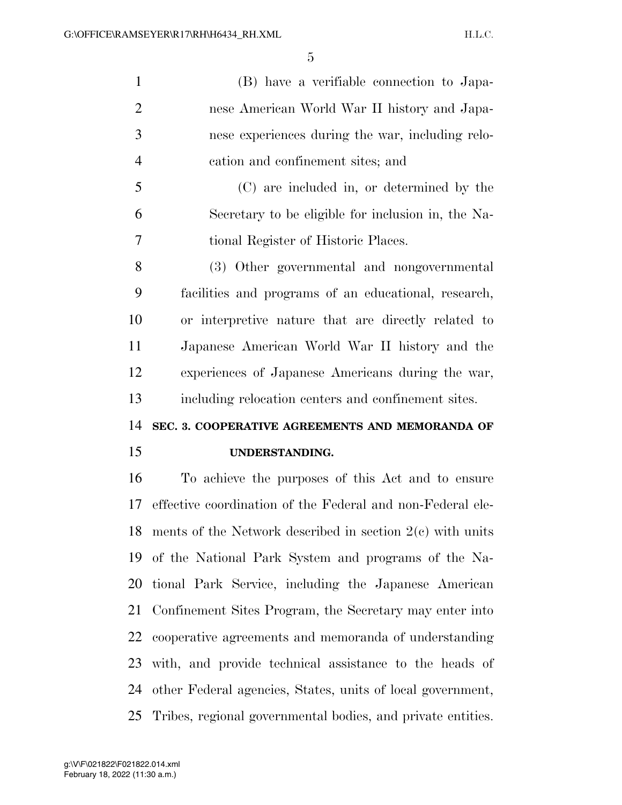(B) have a verifiable connection to Japa- nese American World War II history and Japa- nese experiences during the war, including relo-cation and confinement sites; and

 (C) are included in, or determined by the Secretary to be eligible for inclusion in, the Na-tional Register of Historic Places.

 (3) Other governmental and nongovernmental facilities and programs of an educational, research, or interpretive nature that are directly related to Japanese American World War II history and the experiences of Japanese Americans during the war, including relocation centers and confinement sites.

## **SEC. 3. COOPERATIVE AGREEMENTS AND MEMORANDA OF**

#### **UNDERSTANDING.**

 To achieve the purposes of this Act and to ensure effective coordination of the Federal and non-Federal ele- ments of the Network described in section 2(c) with units of the National Park System and programs of the Na- tional Park Service, including the Japanese American Confinement Sites Program, the Secretary may enter into cooperative agreements and memoranda of understanding with, and provide technical assistance to the heads of other Federal agencies, States, units of local government, Tribes, regional governmental bodies, and private entities.